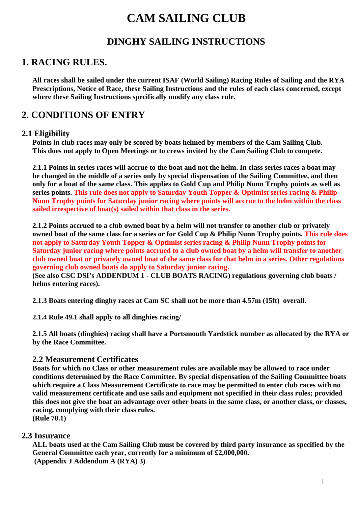# **CAM SAILING CLUB**

## **DINGHY SAILING INSTRUCTIONS**

## **1. RACING RULES.**

**All races shall be sailed under the current ISAF (World Sailing) Racing Rules of Sailing and the RYA Prescriptions, Notice of Race, these Sailing Instructions and the rules of each class concerned, except where these Sailing Instructions specifically modify any class rule.**

## **2. CONDITIONS OF ENTRY**

#### **2.1 Eligibility**

**Points in club races may only be scored by boats helmed by members of the Cam Sailing Club. This does not apply to Open Meetings or to crews invited by the Cam Sailing Club to compete.**

**2.1.1 Points in series races will accrue to the boat and not the helm. In class series races a boat may be changed in the middle of a series only by special dispensation of the Sailing Committee, and then only for a boat of the same class. This applies to Gold Cup and Philip Nunn Trophy points as well as series points. This rule does not apply to Saturday Youth Topper & Optimist series racing & Philip Nunn Trophy points for Saturday junior racing where points will accrue to the helm within the class sailed irrespective of boat(s) sailed within that class in the series.** 

**2.1.2 Points accrued to a club owned boat by a helm will not transfer to another club or privately owned boat of the same class for a series or for Gold Cup & Philip Nunn Trophy points. This rule does not apply to Saturday Youth Topper & Optimist series racing & Philip Nunn Trophy points for Saturday junior racing where points accrued to a club owned boat by a helm will transfer to another club owned boat or privately owned boat of the same class for that helm in a series. Other regulations governing club owned boats do apply to Saturday junior racing.**

**(See also CSC DSI's ADDENDUM 1 - CLUB BOATS RACING) regulations governing club boats / helms entering races).**

**2.1.3 Boats entering dinghy races at Cam SC shall not be more than 4.57m (15ft) overall.**

**2.1.4 Rule 49.1 shall apply to all dinghies racing/**

**2.1.5 All boats (dinghies) racing shall have a Portsmouth Yardstick number as allocated by the RYA or by the Race Committee.** 

#### **2.2 Measurement Certificates**

**Boats for which no Class or other measurement rules are available may be allowed to race under conditions determined by the Race Committee. By special dispensation of the Sailing Committee boats which require a Class Measurement Certificate to race may be permitted to enter club races with no valid measurement certificate and use sails and equipment not specified in their class rules; provided this does not give the boat an advantage over other boats in the same class, or another class, or classes, racing, complying with their class rules.**

**(Rule 78.1)**

### **2.3 Insurance**

**ALL boats used at the Cam Sailing Club must be covered by third party insurance as specified by the General Committee each year, currently for a minimum of £2,000,000. (Appendix J Addendum A (RYA) 3)**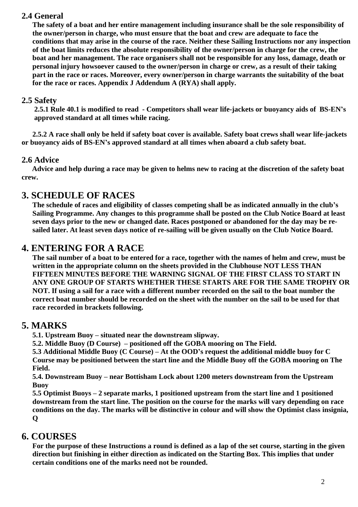### **2.4 General**

**The safety of a boat and her entire management including insurance shall be the sole responsibility of the owner/person in charge, who must ensure that the boat and crew are adequate to face the conditions that may arise in the course of the race. Neither these Sailing Instructions nor any inspection of the boat limits reduces the absolute responsibility of the owner/person in charge for the crew, the boat and her management. The race organisers shall not be responsible for any loss, damage, death or personal injury howsoever caused to the owner/person in charge or crew, as a result of their taking part in the race or races. Moreover, every owner/person in charge warrants the suitability of the boat for the race or races. Appendix J Addendum A (RYA) shall apply.**

#### **2.5 Safety**

**2.5.1 Rule 40.1 is modified to read - Competitors shall wear life-jackets or buoyancy aids of BS-EN's approved standard at all times while racing.**

 **2.5.2 A race shall only be held if safety boat cover is available. Safety boat crews shall wear life-jackets or buoyancy aids of BS-EN's approved standard at all times when aboard a club safety boat.**

#### **2.6 Advice**

 **Advice and help during a race may be given to helms new to racing at the discretion of the safety boat crew.**

## **3. SCHEDULE OF RACES**

**The schedule of races and eligibility of classes competing shall be as indicated annually in the club's Sailing Programme. Any changes to this programme shall be posted on the Club Notice Board at least seven days prior to the new or changed date. Races postponed or abandoned for the day may be resailed later. At least seven days notice of re-sailing will be given usually on the Club Notice Board.**

## **4. ENTERING FOR A RACE**

**The sail number of a boat to be entered for a race, together with the names of helm and crew, must be written in the appropriate column on the sheets provided in the Clubhouse NOT LESS THAN FIFTEEN MINUTES BEFORE THE WARNING SIGNAL OF THE FIRST CLASS TO START IN ANY ONE GROUP OF STARTS WHETHER THESE STARTS ARE FOR THE SAME TROPHY OR NOT. If using a sail for a race with a different number recorded on the sail to the boat number the correct boat number should be recorded on the sheet with the number on the sail to be used for that race recorded in brackets following.**

## **5. MARKS**

**5.1. Upstream Buoy – situated near the downstream slipway.**

**5.2. Middle Buoy (D Course) – positioned off the GOBA mooring on The Field.**

**5.3 Additional Middle Buoy (C Course) – At the OOD's request the additional middle buoy for C Course may be positioned between the start line and the Middle Buoy off the GOBA mooring on The Field.**

**5.4. Downstream Buoy – near Bottisham Lock about 1200 meters downstream from the Upstream Buoy**

**5.5 Optimist Buoys – 2 separate marks, 1 positioned upstream from the start line and 1 positioned downstream from the start line. The position on the course for the marks will vary depending on race conditions on the day. The marks will be distinctive in colour and will show the Optimist class insignia, Q**

## **6. COURSES**

**For the purpose of these Instructions a round is defined as a lap of the set course, starting in the given direction but finishing in either direction as indicated on the Starting Box. This implies that under certain conditions one of the marks need not be rounded.**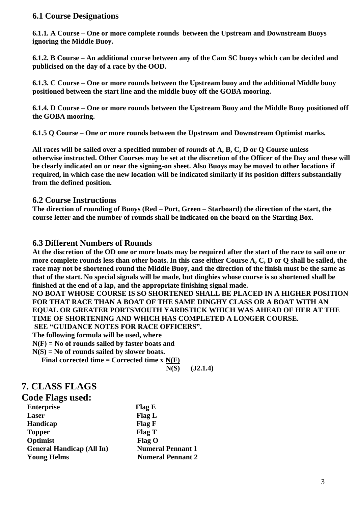#### **6.1 Course Designations**

**6.1.1. A Course – One or more complete rounds between the Upstream and Downstream Buoys ignoring the Middle Buoy.**

**6.1.2. B Course – An additional course between any of the Cam SC buoys which can be decided and publicised on the day of a race by the OOD.**

**6.1.3. C Course – One or more rounds between the Upstream buoy and the additional Middle buoy positioned between the start line and the middle buoy off the GOBA mooring.**

**6.1.4. D Course – One or more rounds between the Upstream Buoy and the Middle Buoy positioned off the GOBA mooring.**

**6.1.5 Q Course – One or more rounds between the Upstream and Downstream Optimist marks.**

**All races will be sailed over a specified number of** *rounds* **of A, B, C, D or Q Course unless otherwise instructed. Other Courses may be set at the discretion of the Officer of the Day and these will be clearly indicated on or near the signing-on sheet. Also Buoys may be moved to other locations if required, in which case the new location will be indicated similarly if its position differs substantially from the defined position.** 

#### **6.2 Course Instructions**

**The direction of rounding of Buoys (Red – Port, Green – Starboard) the direction of the start, the course letter and the number of rounds shall be indicated on the board on the Starting Box.**

#### **6.3 Different Numbers of Rounds**

**At the discretion of the OD one or more boats may be required after the start of the race to sail one or more complete rounds less than other boats. In this case either Course A, C, D or Q shall be sailed, the race may not be shortened round the Middle Buoy, and the direction of the finish must be the same as that of the start. No special signals will be made, but dinghies whose course is so shortened shall be finished at the end of a lap, and the appropriate finishing signal made.**

**NO BOAT WHOSE COURSE IS SO SHORTENED SHALL BE PLACED IN A HIGHER POSITION FOR THAT RACE THAN A BOAT OF THE SAME DINGHY CLASS OR A BOAT WITH AN EQUAL OR GREATER PORTSMOUTH YARDSTICK WHICH WAS AHEAD OF HER AT THE TIME OF SHORTENING AND WHICH HAS COMPLETED A LONGER COURSE.**

**SEE "GUIDANCE NOTES FOR RACE OFFICERS".** 

**The following formula will be used, where**

**N(F) = No of rounds sailed by faster boats and** 

**N(S) = No of rounds sailed by slower boats.**

 **Final corrected time = Corrected time x N(F)**

 **N(S) (J2.1.4)**

## **7. CLASS FLAGS**

| Code Flags used:                 |                          |
|----------------------------------|--------------------------|
| <b>Enterprise</b>                | Flag E                   |
| Laser                            | Flag L                   |
| <b>Handicap</b>                  | Flag F                   |
| <b>Topper</b>                    | Flag T                   |
| Optimist                         | $Flag$ O                 |
| <b>General Handicap (All In)</b> | <b>Numeral Pennant 1</b> |
| <b>Young Helms</b>               | <b>Numeral Pennant 2</b> |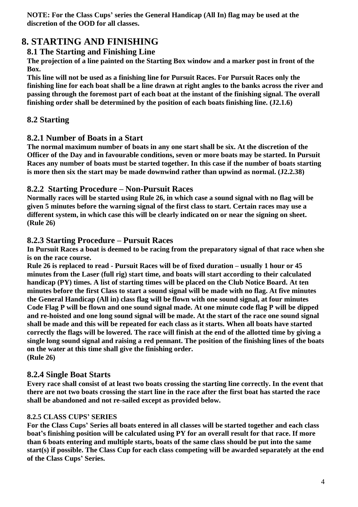**NOTE: For the Class Cups' series the General Handicap (All In) flag may be used at the discretion of the OOD for all classes.**

## **8. STARTING AND FINISHING**

### **8.1 The Starting and Finishing Line**

**The projection of a line painted on the Starting Box window and a marker post in front of the Box.**

**This line will not be used as a finishing line for Pursuit Races. For Pursuit Races only the finishing line for each boat shall be a line drawn at right angles to the banks across the river and passing through the foremost part of each boat at the instant of the finishing signal. The overall finishing order shall be determined by the position of each boats finishing line. (J2.1.6)**

## **8.2 Starting**

#### **8.2.1 Number of Boats in a Start**

**The normal maximum number of boats in any one start shall be six. At the discretion of the Officer of the Day and in favourable conditions, seven or more boats may be started. In Pursuit Races any number of boats must be started together. In this case if the number of boats starting is more then six the start may be made downwind rather than upwind as normal. (J2.2.38)**

#### **8.2.2 Starting Procedure – Non-Pursuit Races**

**Normally races will be started using Rule 26, in which case a sound signal with no flag will be given 5 minutes before the warning signal of the first class to start. Certain races may use a different system, in which case this will be clearly indicated on or near the signing on sheet. (Rule 26)**

#### **8.2.3 Starting Procedure – Pursuit Races**

**In Pursuit Races a boat is deemed to be racing from the preparatory signal of that race when she is on the race course.**

**Rule 26 is replaced to read - Pursuit Races will be of fixed duration – usually 1 hour or 45 minutes from the Laser (full rig) start time, and boats will start according to their calculated handicap (PY) times. A list of starting times will be placed on the Club Notice Board. At ten minutes before the first Class to start a sound signal will be made with no flag. At five minutes the General Handicap (All in) class flag will be flown with one sound signal, at four minutes Code Flag P will be flown and one sound signal made. At one minute code flag P will be dipped and re-hoisted and one long sound signal will be made. At the start of the race one sound signal shall be made and this will be repeated for each class as it starts. When all boats have started correctly the flags will be lowered. The race will finish at the end of the allotted time by giving a single long sound signal and raising a red pennant. The position of the finishing lines of the boats on the water at this time shall give the finishing order. (Rule 26)**

### **8.2.4 Single Boat Starts**

**Every race shall consist of at least two boats crossing the starting line correctly. In the event that there are not two boats crossing the start line in the race after the first boat has started the race shall be abandoned and not re-sailed except as provided below.**

#### **8.2.5 CLASS CUPS' SERIES**

**For the Class Cups' Series all boats entered in all classes will be started together and each class boat's finishing position will be calculated using PY for an overall result for that race. If more than 6 boats entering and multiple starts, boats of the same class should be put into the same start(s) if possible. The Class Cup for each class competing will be awarded separately at the end of the Class Cups' Series.**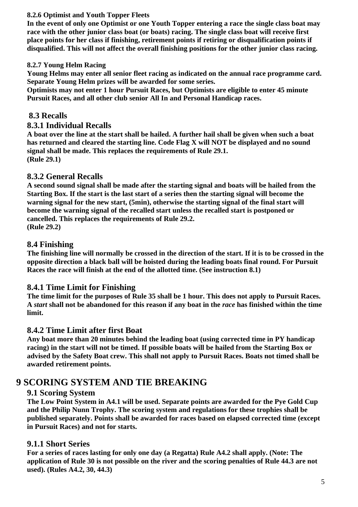#### **8.2.6 Optimist and Youth Topper Fleets**

**In the event of only one Optimist or one Youth Topper entering a race the single class boat may race with the other junior class boat (or boats) racing. The single class boat will receive first place points for her class if finishing, retirement points if retiring or disqualification points if disqualified. This will not affect the overall finishing positions for the other junior class racing.**

#### **8.2.7 Young Helm Racing**

**Young Helms may enter all senior fleet racing as indicated on the annual race programme card. Separate Young Helm prizes will be awarded for some series.**

**Optimists may not enter 1 hour Pursuit Races, but Optimists are eligible to enter 45 minute Pursuit Races, and all other club senior All In and Personal Handicap races.**

#### **8.3 Recalls**

#### **8.3.1 Individual Recalls**

**A boat over the line at the start shall be hailed. A further hail shall be given when such a boat has returned and cleared the starting line. Code Flag X will NOT be displayed and no sound signal shall be made. This replaces the requirements of Rule 29.1. (Rule 29.1)**

#### **8.3.2 General Recalls**

**A second sound signal shall be made after the starting signal and boats will be hailed from the Starting Box. If the start is the last start of a series then the starting signal will become the warning signal for the new start, (5min), otherwise the starting signal of the final start will become the warning signal of the recalled start unless the recalled start is postponed or cancelled. This replaces the requirements of Rule 29.2. (Rule 29.2)**

#### **8.4 Finishing**

**The finishing line will normally be crossed in the direction of the start. If it is to be crossed in the opposite direction a black ball will be hoisted during the leading boats final round. For Pursuit Races the race will finish at the end of the allotted time. (See instruction 8.1)**

#### **8.4.1 Time Limit for Finishing**

**The time limit for the purposes of Rule 35 shall be 1 hour. This does not apply to Pursuit Races. A** *start* **shall not be abandoned for this reason if any boat in the** *race* **has finished within the time limit.**

#### **8.4.2 Time Limit after first Boat**

**Any boat more than 20 minutes behind the leading boat (using corrected time in PY handicap racing) in the start will not be timed. If possible boats will be hailed from the Starting Box or advised by the Safety Boat crew. This shall not apply to Pursuit Races. Boats not timed shall be awarded retirement points.**

## **9 SCORING SYSTEM AND TIE BREAKING**

#### **9.1 Scoring System**

**The Low Point System in A4.1 will be used. Separate points are awarded for the Pye Gold Cup and the Philip Nunn Trophy. The scoring system and regulations for these trophies shall be published separately. Points shall be awarded for races based on elapsed corrected time (except in Pursuit Races) and not for starts.**

#### **9.1.1 Short Series**

**For a series of races lasting for only one day (a Regatta) Rule A4.2 shall apply. (Note: The application of Rule 30 is not possible on the river and the scoring penalties of Rule 44.3 are not used). (Rules A4.2, 30, 44.3)**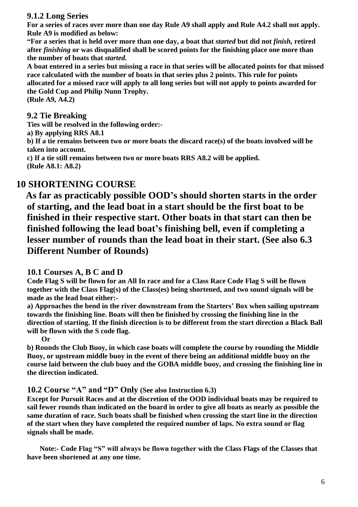#### **9.1.2 Long Series**

**For a series of races over more than one day Rule A9 shall apply and Rule A4.2 shall not apply. Rule A9 is modified as below:**

**"For a series that is held over more than one day, a boat that** *started* **but did not** *finish,* **retired after** *finishing* **or was disqualified shall be scored points for the finishing place one more than the number of boats that** *started.*

**A boat entered in a series but missing a race in that series will be allocated points for that missed race calculated with the number of boats in that series plus 2 points. This rule for points allocated for a missed race will apply to all long series but will not apply to points awarded for the Gold Cup and Philip Nunn Trophy.** 

**(Rule A9, A4.2)** 

#### **9.2 Tie Breaking**

**Ties will be resolved in the following order:-**

**a) By applying RRS A8.1**

**b) If a tie remains between two or more boats the discard race(s) of the boats involved will be taken into account.**

**c) If a tie still remains between two or more boats RRS A8.2 will be applied. (Rule A8.1: A8.2)**

## **10 SHORTENING COURSE**

 **As far as practicably possible OOD's should shorten starts in the order of starting, and the lead boat in a start should be the first boat to be finished in their respective start. Other boats in that start can then be finished following the lead boat's finishing bell, even if completing a lesser number of rounds than the lead boat in their start. (See also 6.3 Different Number of Rounds)**

#### **10.1 Courses A, B C and D**

**Code Flag S will be flown for an All In race and for a Class Race Code Flag S will be flown together with the Class Flag(s) of the Class(es) being shortened, and two sound signals will be made as the lead boat either:-**

**a) Approaches the bend in the river downstream from the Starters' Box when sailing upstream towards the finishing line. Boats will then be finished by crossing the finishing line in the direction of starting. If the finish direction is to be different from the start direction a Black Ball will be flown with the S code flag.** 

 **Or** 

**b) Rounds the Club Buoy, in which case boats will complete the course by rounding the Middle Buoy, or upstream middle buoy in the event of there being an additional middle buoy on the course laid between the club buoy and the GOBA middle buoy, and crossing the finishing line in the direction indicated.**

#### **10.2 Course "A" and "D" Only (See also Instruction 6.3)**

**Except for Pursuit Races and at the discretion of the OOD individual boats may be required to sail fewer rounds than indicated on the board in order to give all boats as nearly as possible the same duration of race. Such boats shall be finished when crossing the start line in the direction of the start when they have completed the required number of laps. No extra sound or flag signals shall be made.**

 **Note:- Code Flag "S" will always be flown together with the Class Flags of the Classes that have been shortened at any one time.**